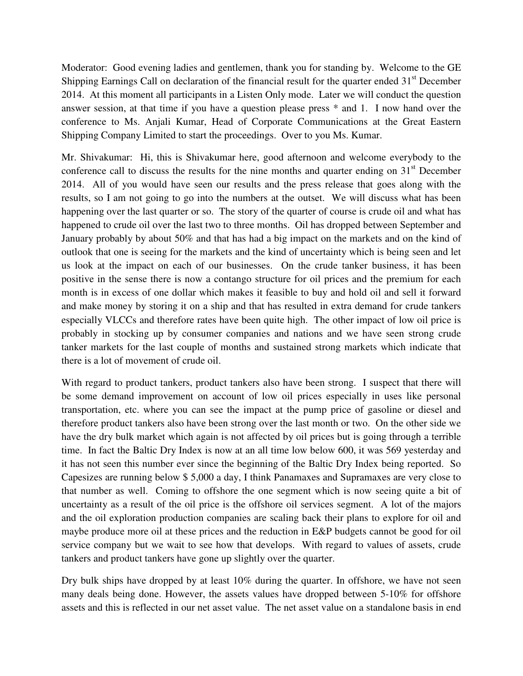Moderator: Good evening ladies and gentlemen, thank you for standing by. Welcome to the GE Shipping Earnings Call on declaration of the financial result for the quarter ended 31<sup>st</sup> December 2014. At this moment all participants in a Listen Only mode. Later we will conduct the question answer session, at that time if you have a question please press \* and 1. I now hand over the conference to Ms. Anjali Kumar, Head of Corporate Communications at the Great Eastern Shipping Company Limited to start the proceedings. Over to you Ms. Kumar.

Mr. Shivakumar: Hi, this is Shivakumar here, good afternoon and welcome everybody to the conference call to discuss the results for the nine months and quarter ending on  $31<sup>st</sup>$  December 2014. All of you would have seen our results and the press release that goes along with the results, so I am not going to go into the numbers at the outset. We will discuss what has been happening over the last quarter or so. The story of the quarter of course is crude oil and what has happened to crude oil over the last two to three months. Oil has dropped between September and January probably by about 50% and that has had a big impact on the markets and on the kind of outlook that one is seeing for the markets and the kind of uncertainty which is being seen and let us look at the impact on each of our businesses. On the crude tanker business, it has been positive in the sense there is now a contango structure for oil prices and the premium for each month is in excess of one dollar which makes it feasible to buy and hold oil and sell it forward and make money by storing it on a ship and that has resulted in extra demand for crude tankers especially VLCCs and therefore rates have been quite high. The other impact of low oil price is probably in stocking up by consumer companies and nations and we have seen strong crude tanker markets for the last couple of months and sustained strong markets which indicate that there is a lot of movement of crude oil.

With regard to product tankers, product tankers also have been strong. I suspect that there will be some demand improvement on account of low oil prices especially in uses like personal transportation, etc. where you can see the impact at the pump price of gasoline or diesel and therefore product tankers also have been strong over the last month or two. On the other side we have the dry bulk market which again is not affected by oil prices but is going through a terrible time. In fact the Baltic Dry Index is now at an all time low below 600, it was 569 yesterday and it has not seen this number ever since the beginning of the Baltic Dry Index being reported. So Capesizes are running below \$ 5,000 a day, I think Panamaxes and Supramaxes are very close to that number as well. Coming to offshore the one segment which is now seeing quite a bit of uncertainty as a result of the oil price is the offshore oil services segment. A lot of the majors and the oil exploration production companies are scaling back their plans to explore for oil and maybe produce more oil at these prices and the reduction in E&P budgets cannot be good for oil service company but we wait to see how that develops. With regard to values of assets, crude tankers and product tankers have gone up slightly over the quarter.

Dry bulk ships have dropped by at least 10% during the quarter. In offshore, we have not seen many deals being done. However, the assets values have dropped between 5-10% for offshore assets and this is reflected in our net asset value. The net asset value on a standalone basis in end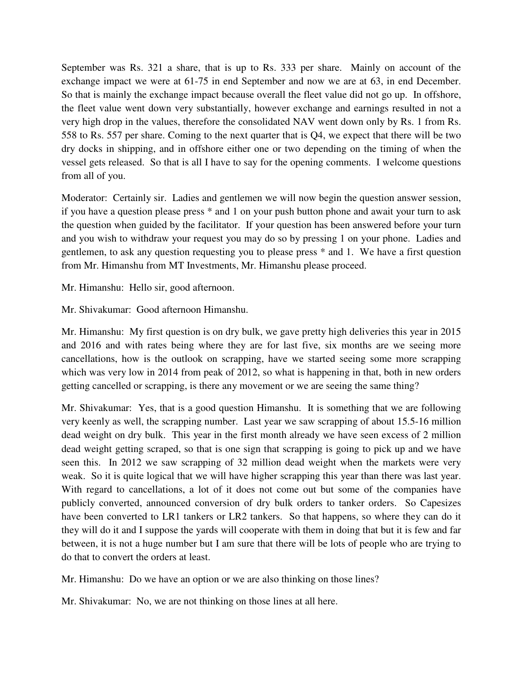September was Rs. 321 a share, that is up to Rs. 333 per share. Mainly on account of the exchange impact we were at 61-75 in end September and now we are at 63, in end December. So that is mainly the exchange impact because overall the fleet value did not go up. In offshore, the fleet value went down very substantially, however exchange and earnings resulted in not a very high drop in the values, therefore the consolidated NAV went down only by Rs. 1 from Rs. 558 to Rs. 557 per share. Coming to the next quarter that is Q4, we expect that there will be two dry docks in shipping, and in offshore either one or two depending on the timing of when the vessel gets released. So that is all I have to say for the opening comments. I welcome questions from all of you.

Moderator: Certainly sir. Ladies and gentlemen we will now begin the question answer session, if you have a question please press \* and 1 on your push button phone and await your turn to ask the question when guided by the facilitator. If your question has been answered before your turn and you wish to withdraw your request you may do so by pressing 1 on your phone. Ladies and gentlemen, to ask any question requesting you to please press \* and 1. We have a first question from Mr. Himanshu from MT Investments, Mr. Himanshu please proceed.

Mr. Himanshu: Hello sir, good afternoon.

Mr. Shivakumar: Good afternoon Himanshu.

Mr. Himanshu: My first question is on dry bulk, we gave pretty high deliveries this year in 2015 and 2016 and with rates being where they are for last five, six months are we seeing more cancellations, how is the outlook on scrapping, have we started seeing some more scrapping which was very low in 2014 from peak of 2012, so what is happening in that, both in new orders getting cancelled or scrapping, is there any movement or we are seeing the same thing?

Mr. Shivakumar: Yes, that is a good question Himanshu. It is something that we are following very keenly as well, the scrapping number. Last year we saw scrapping of about 15.5-16 million dead weight on dry bulk. This year in the first month already we have seen excess of 2 million dead weight getting scraped, so that is one sign that scrapping is going to pick up and we have seen this. In 2012 we saw scrapping of 32 million dead weight when the markets were very weak. So it is quite logical that we will have higher scrapping this year than there was last year. With regard to cancellations, a lot of it does not come out but some of the companies have publicly converted, announced conversion of dry bulk orders to tanker orders. So Capesizes have been converted to LR1 tankers or LR2 tankers. So that happens, so where they can do it they will do it and I suppose the yards will cooperate with them in doing that but it is few and far between, it is not a huge number but I am sure that there will be lots of people who are trying to do that to convert the orders at least.

Mr. Himanshu: Do we have an option or we are also thinking on those lines?

Mr. Shivakumar: No, we are not thinking on those lines at all here.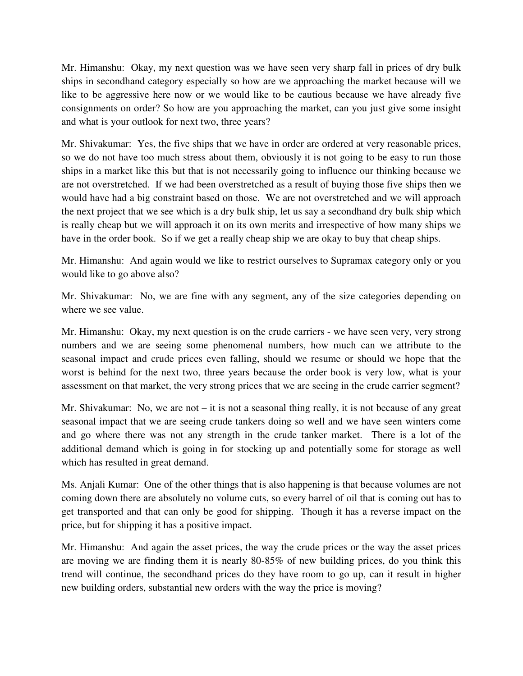Mr. Himanshu: Okay, my next question was we have seen very sharp fall in prices of dry bulk ships in secondhand category especially so how are we approaching the market because will we like to be aggressive here now or we would like to be cautious because we have already five consignments on order? So how are you approaching the market, can you just give some insight and what is your outlook for next two, three years?

Mr. Shivakumar: Yes, the five ships that we have in order are ordered at very reasonable prices, so we do not have too much stress about them, obviously it is not going to be easy to run those ships in a market like this but that is not necessarily going to influence our thinking because we are not overstretched. If we had been overstretched as a result of buying those five ships then we would have had a big constraint based on those. We are not overstretched and we will approach the next project that we see which is a dry bulk ship, let us say a secondhand dry bulk ship which is really cheap but we will approach it on its own merits and irrespective of how many ships we have in the order book. So if we get a really cheap ship we are okay to buy that cheap ships.

Mr. Himanshu: And again would we like to restrict ourselves to Supramax category only or you would like to go above also?

Mr. Shivakumar: No, we are fine with any segment, any of the size categories depending on where we see value.

Mr. Himanshu: Okay, my next question is on the crude carriers - we have seen very, very strong numbers and we are seeing some phenomenal numbers, how much can we attribute to the seasonal impact and crude prices even falling, should we resume or should we hope that the worst is behind for the next two, three years because the order book is very low, what is your assessment on that market, the very strong prices that we are seeing in the crude carrier segment?

Mr. Shivakumar: No, we are not – it is not a seasonal thing really, it is not because of any great seasonal impact that we are seeing crude tankers doing so well and we have seen winters come and go where there was not any strength in the crude tanker market. There is a lot of the additional demand which is going in for stocking up and potentially some for storage as well which has resulted in great demand.

Ms. Anjali Kumar: One of the other things that is also happening is that because volumes are not coming down there are absolutely no volume cuts, so every barrel of oil that is coming out has to get transported and that can only be good for shipping. Though it has a reverse impact on the price, but for shipping it has a positive impact.

Mr. Himanshu: And again the asset prices, the way the crude prices or the way the asset prices are moving we are finding them it is nearly 80-85% of new building prices, do you think this trend will continue, the secondhand prices do they have room to go up, can it result in higher new building orders, substantial new orders with the way the price is moving?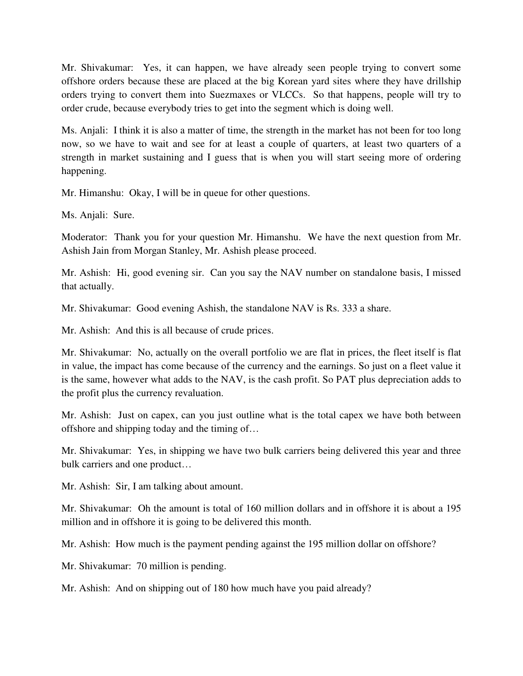Mr. Shivakumar: Yes, it can happen, we have already seen people trying to convert some offshore orders because these are placed at the big Korean yard sites where they have drillship orders trying to convert them into Suezmaxes or VLCCs. So that happens, people will try to order crude, because everybody tries to get into the segment which is doing well.

Ms. Anjali: I think it is also a matter of time, the strength in the market has not been for too long now, so we have to wait and see for at least a couple of quarters, at least two quarters of a strength in market sustaining and I guess that is when you will start seeing more of ordering happening.

Mr. Himanshu: Okay, I will be in queue for other questions.

Ms. Anjali: Sure.

Moderator: Thank you for your question Mr. Himanshu. We have the next question from Mr. Ashish Jain from Morgan Stanley, Mr. Ashish please proceed.

Mr. Ashish: Hi, good evening sir. Can you say the NAV number on standalone basis, I missed that actually.

Mr. Shivakumar: Good evening Ashish, the standalone NAV is Rs. 333 a share.

Mr. Ashish: And this is all because of crude prices.

Mr. Shivakumar: No, actually on the overall portfolio we are flat in prices, the fleet itself is flat in value, the impact has come because of the currency and the earnings. So just on a fleet value it is the same, however what adds to the NAV, is the cash profit. So PAT plus depreciation adds to the profit plus the currency revaluation.

Mr. Ashish: Just on capex, can you just outline what is the total capex we have both between offshore and shipping today and the timing of…

Mr. Shivakumar: Yes, in shipping we have two bulk carriers being delivered this year and three bulk carriers and one product…

Mr. Ashish: Sir, I am talking about amount.

Mr. Shivakumar: Oh the amount is total of 160 million dollars and in offshore it is about a 195 million and in offshore it is going to be delivered this month.

Mr. Ashish: How much is the payment pending against the 195 million dollar on offshore?

Mr. Shivakumar: 70 million is pending.

Mr. Ashish: And on shipping out of 180 how much have you paid already?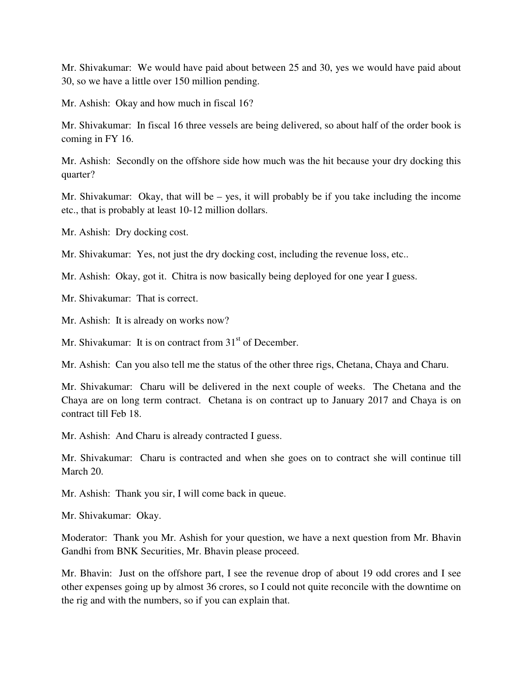Mr. Shivakumar: We would have paid about between 25 and 30, yes we would have paid about 30, so we have a little over 150 million pending.

Mr. Ashish: Okay and how much in fiscal 16?

Mr. Shivakumar: In fiscal 16 three vessels are being delivered, so about half of the order book is coming in FY 16.

Mr. Ashish: Secondly on the offshore side how much was the hit because your dry docking this quarter?

Mr. Shivakumar: Okay, that will be – yes, it will probably be if you take including the income etc., that is probably at least 10-12 million dollars.

Mr. Ashish: Dry docking cost.

Mr. Shivakumar: Yes, not just the dry docking cost, including the revenue loss, etc..

Mr. Ashish: Okay, got it. Chitra is now basically being deployed for one year I guess.

Mr. Shivakumar: That is correct.

Mr. Ashish: It is already on works now?

Mr. Shivakumar: It is on contract from  $31<sup>st</sup>$  of December.

Mr. Ashish: Can you also tell me the status of the other three rigs, Chetana, Chaya and Charu.

Mr. Shivakumar: Charu will be delivered in the next couple of weeks. The Chetana and the Chaya are on long term contract. Chetana is on contract up to January 2017 and Chaya is on contract till Feb 18.

Mr. Ashish: And Charu is already contracted I guess.

Mr. Shivakumar: Charu is contracted and when she goes on to contract she will continue till March 20.

Mr. Ashish: Thank you sir, I will come back in queue.

Mr. Shivakumar: Okay.

Moderator: Thank you Mr. Ashish for your question, we have a next question from Mr. Bhavin Gandhi from BNK Securities, Mr. Bhavin please proceed.

Mr. Bhavin: Just on the offshore part, I see the revenue drop of about 19 odd crores and I see other expenses going up by almost 36 crores, so I could not quite reconcile with the downtime on the rig and with the numbers, so if you can explain that.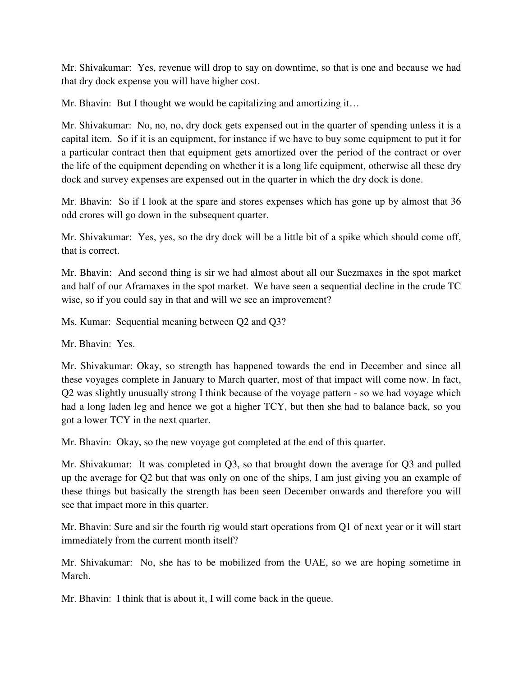Mr. Shivakumar: Yes, revenue will drop to say on downtime, so that is one and because we had that dry dock expense you will have higher cost.

Mr. Bhavin: But I thought we would be capitalizing and amortizing it...

Mr. Shivakumar: No, no, no, dry dock gets expensed out in the quarter of spending unless it is a capital item. So if it is an equipment, for instance if we have to buy some equipment to put it for a particular contract then that equipment gets amortized over the period of the contract or over the life of the equipment depending on whether it is a long life equipment, otherwise all these dry dock and survey expenses are expensed out in the quarter in which the dry dock is done.

Mr. Bhavin: So if I look at the spare and stores expenses which has gone up by almost that 36 odd crores will go down in the subsequent quarter.

Mr. Shivakumar: Yes, yes, so the dry dock will be a little bit of a spike which should come off, that is correct.

Mr. Bhavin: And second thing is sir we had almost about all our Suezmaxes in the spot market and half of our Aframaxes in the spot market. We have seen a sequential decline in the crude TC wise, so if you could say in that and will we see an improvement?

Ms. Kumar: Sequential meaning between Q2 and Q3?

Mr. Bhavin: Yes.

Mr. Shivakumar: Okay, so strength has happened towards the end in December and since all these voyages complete in January to March quarter, most of that impact will come now. In fact, Q2 was slightly unusually strong I think because of the voyage pattern - so we had voyage which had a long laden leg and hence we got a higher TCY, but then she had to balance back, so you got a lower TCY in the next quarter.

Mr. Bhavin: Okay, so the new voyage got completed at the end of this quarter.

Mr. Shivakumar: It was completed in Q3, so that brought down the average for Q3 and pulled up the average for Q2 but that was only on one of the ships, I am just giving you an example of these things but basically the strength has been seen December onwards and therefore you will see that impact more in this quarter.

Mr. Bhavin: Sure and sir the fourth rig would start operations from Q1 of next year or it will start immediately from the current month itself?

Mr. Shivakumar: No, she has to be mobilized from the UAE, so we are hoping sometime in March.

Mr. Bhavin: I think that is about it, I will come back in the queue.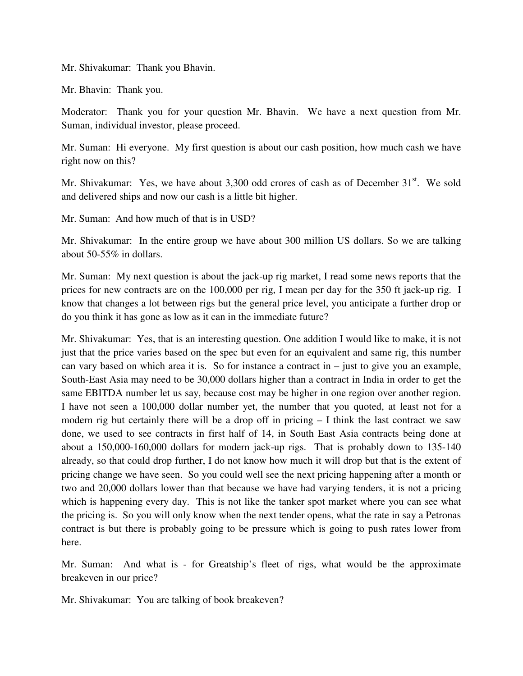Mr. Shivakumar: Thank you Bhavin.

Mr. Bhavin: Thank you.

Moderator: Thank you for your question Mr. Bhavin. We have a next question from Mr. Suman, individual investor, please proceed.

Mr. Suman: Hi everyone. My first question is about our cash position, how much cash we have right now on this?

Mr. Shivakumar: Yes, we have about  $3,300$  odd crores of cash as of December  $31<sup>st</sup>$ . We sold and delivered ships and now our cash is a little bit higher.

Mr. Suman: And how much of that is in USD?

Mr. Shivakumar: In the entire group we have about 300 million US dollars. So we are talking about 50-55% in dollars.

Mr. Suman: My next question is about the jack-up rig market, I read some news reports that the prices for new contracts are on the 100,000 per rig, I mean per day for the 350 ft jack-up rig. I know that changes a lot between rigs but the general price level, you anticipate a further drop or do you think it has gone as low as it can in the immediate future?

Mr. Shivakumar: Yes, that is an interesting question. One addition I would like to make, it is not just that the price varies based on the spec but even for an equivalent and same rig, this number can vary based on which area it is. So for instance a contract in  $-$  just to give you an example, South-East Asia may need to be 30,000 dollars higher than a contract in India in order to get the same EBITDA number let us say, because cost may be higher in one region over another region. I have not seen a 100,000 dollar number yet, the number that you quoted, at least not for a modern rig but certainly there will be a drop off in pricing  $-1$  think the last contract we saw done, we used to see contracts in first half of 14, in South East Asia contracts being done at about a 150,000-160,000 dollars for modern jack-up rigs. That is probably down to 135-140 already, so that could drop further, I do not know how much it will drop but that is the extent of pricing change we have seen. So you could well see the next pricing happening after a month or two and 20,000 dollars lower than that because we have had varying tenders, it is not a pricing which is happening every day. This is not like the tanker spot market where you can see what the pricing is. So you will only know when the next tender opens, what the rate in say a Petronas contract is but there is probably going to be pressure which is going to push rates lower from here.

Mr. Suman: And what is - for Greatship's fleet of rigs, what would be the approximate breakeven in our price?

Mr. Shivakumar: You are talking of book breakeven?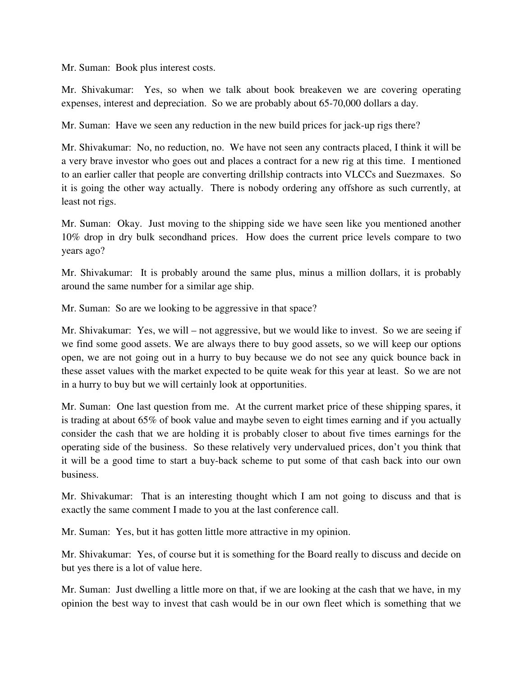Mr. Suman: Book plus interest costs.

Mr. Shivakumar: Yes, so when we talk about book breakeven we are covering operating expenses, interest and depreciation. So we are probably about 65-70,000 dollars a day.

Mr. Suman: Have we seen any reduction in the new build prices for jack-up rigs there?

Mr. Shivakumar: No, no reduction, no. We have not seen any contracts placed, I think it will be a very brave investor who goes out and places a contract for a new rig at this time. I mentioned to an earlier caller that people are converting drillship contracts into VLCCs and Suezmaxes. So it is going the other way actually. There is nobody ordering any offshore as such currently, at least not rigs.

Mr. Suman: Okay. Just moving to the shipping side we have seen like you mentioned another 10% drop in dry bulk secondhand prices. How does the current price levels compare to two years ago?

Mr. Shivakumar: It is probably around the same plus, minus a million dollars, it is probably around the same number for a similar age ship.

Mr. Suman: So are we looking to be aggressive in that space?

Mr. Shivakumar: Yes, we will – not aggressive, but we would like to invest. So we are seeing if we find some good assets. We are always there to buy good assets, so we will keep our options open, we are not going out in a hurry to buy because we do not see any quick bounce back in these asset values with the market expected to be quite weak for this year at least. So we are not in a hurry to buy but we will certainly look at opportunities.

Mr. Suman: One last question from me. At the current market price of these shipping spares, it is trading at about 65% of book value and maybe seven to eight times earning and if you actually consider the cash that we are holding it is probably closer to about five times earnings for the operating side of the business. So these relatively very undervalued prices, don't you think that it will be a good time to start a buy-back scheme to put some of that cash back into our own business.

Mr. Shivakumar: That is an interesting thought which I am not going to discuss and that is exactly the same comment I made to you at the last conference call.

Mr. Suman: Yes, but it has gotten little more attractive in my opinion.

Mr. Shivakumar: Yes, of course but it is something for the Board really to discuss and decide on but yes there is a lot of value here.

Mr. Suman: Just dwelling a little more on that, if we are looking at the cash that we have, in my opinion the best way to invest that cash would be in our own fleet which is something that we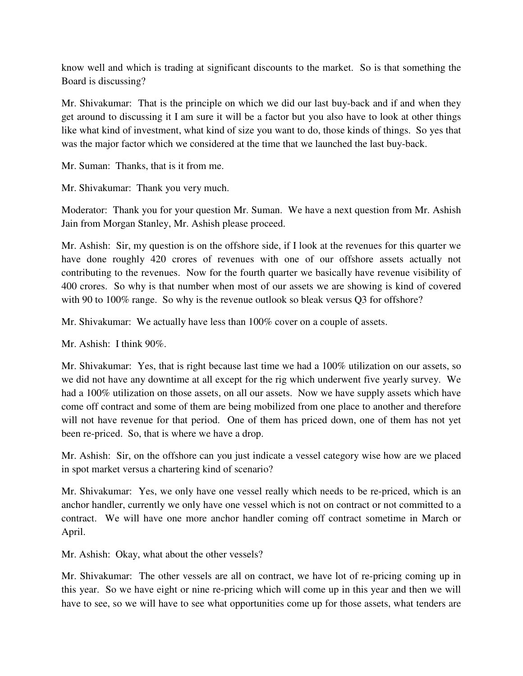know well and which is trading at significant discounts to the market. So is that something the Board is discussing?

Mr. Shivakumar: That is the principle on which we did our last buy-back and if and when they get around to discussing it I am sure it will be a factor but you also have to look at other things like what kind of investment, what kind of size you want to do, those kinds of things. So yes that was the major factor which we considered at the time that we launched the last buy-back.

Mr. Suman: Thanks, that is it from me.

Mr. Shivakumar: Thank you very much.

Moderator: Thank you for your question Mr. Suman. We have a next question from Mr. Ashish Jain from Morgan Stanley, Mr. Ashish please proceed.

Mr. Ashish: Sir, my question is on the offshore side, if I look at the revenues for this quarter we have done roughly 420 crores of revenues with one of our offshore assets actually not contributing to the revenues. Now for the fourth quarter we basically have revenue visibility of 400 crores. So why is that number when most of our assets we are showing is kind of covered with 90 to 100% range. So why is the revenue outlook so bleak versus Q3 for offshore?

Mr. Shivakumar: We actually have less than 100% cover on a couple of assets.

Mr. Ashish: I think 90%.

Mr. Shivakumar: Yes, that is right because last time we had a 100% utilization on our assets, so we did not have any downtime at all except for the rig which underwent five yearly survey. We had a 100% utilization on those assets, on all our assets. Now we have supply assets which have come off contract and some of them are being mobilized from one place to another and therefore will not have revenue for that period. One of them has priced down, one of them has not yet been re-priced. So, that is where we have a drop.

Mr. Ashish: Sir, on the offshore can you just indicate a vessel category wise how are we placed in spot market versus a chartering kind of scenario?

Mr. Shivakumar: Yes, we only have one vessel really which needs to be re-priced, which is an anchor handler, currently we only have one vessel which is not on contract or not committed to a contract. We will have one more anchor handler coming off contract sometime in March or April.

Mr. Ashish: Okay, what about the other vessels?

Mr. Shivakumar: The other vessels are all on contract, we have lot of re-pricing coming up in this year. So we have eight or nine re-pricing which will come up in this year and then we will have to see, so we will have to see what opportunities come up for those assets, what tenders are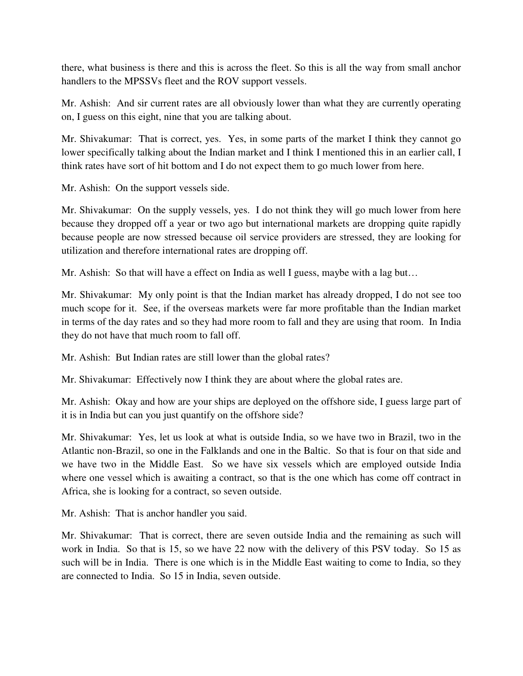there, what business is there and this is across the fleet. So this is all the way from small anchor handlers to the MPSSVs fleet and the ROV support vessels.

Mr. Ashish: And sir current rates are all obviously lower than what they are currently operating on, I guess on this eight, nine that you are talking about.

Mr. Shivakumar: That is correct, yes. Yes, in some parts of the market I think they cannot go lower specifically talking about the Indian market and I think I mentioned this in an earlier call, I think rates have sort of hit bottom and I do not expect them to go much lower from here.

Mr. Ashish: On the support vessels side.

Mr. Shivakumar: On the supply vessels, yes. I do not think they will go much lower from here because they dropped off a year or two ago but international markets are dropping quite rapidly because people are now stressed because oil service providers are stressed, they are looking for utilization and therefore international rates are dropping off.

Mr. Ashish: So that will have a effect on India as well I guess, maybe with a lag but…

Mr. Shivakumar: My only point is that the Indian market has already dropped, I do not see too much scope for it. See, if the overseas markets were far more profitable than the Indian market in terms of the day rates and so they had more room to fall and they are using that room. In India they do not have that much room to fall off.

Mr. Ashish: But Indian rates are still lower than the global rates?

Mr. Shivakumar: Effectively now I think they are about where the global rates are.

Mr. Ashish: Okay and how are your ships are deployed on the offshore side, I guess large part of it is in India but can you just quantify on the offshore side?

Mr. Shivakumar: Yes, let us look at what is outside India, so we have two in Brazil, two in the Atlantic non-Brazil, so one in the Falklands and one in the Baltic. So that is four on that side and we have two in the Middle East. So we have six vessels which are employed outside India where one vessel which is awaiting a contract, so that is the one which has come off contract in Africa, she is looking for a contract, so seven outside.

Mr. Ashish: That is anchor handler you said.

Mr. Shivakumar: That is correct, there are seven outside India and the remaining as such will work in India. So that is 15, so we have 22 now with the delivery of this PSV today. So 15 as such will be in India. There is one which is in the Middle East waiting to come to India, so they are connected to India. So 15 in India, seven outside.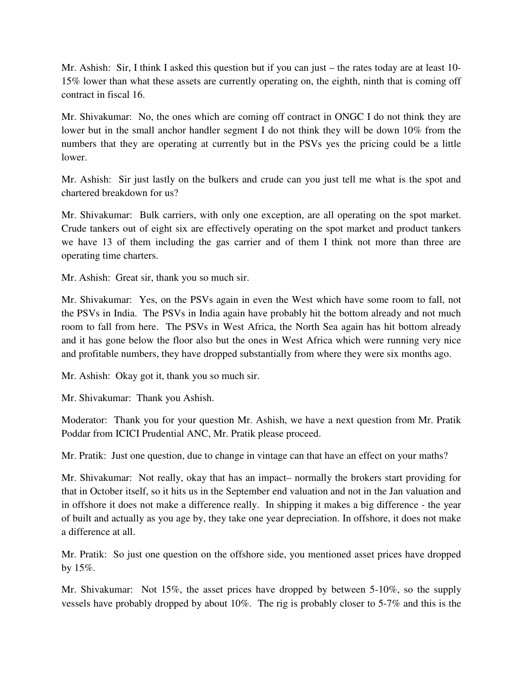Mr. Ashish: Sir, I think I asked this question but if you can just – the rates today are at least 10- 15% lower than what these assets are currently operating on, the eighth, ninth that is coming off contract in fiscal 16.

Mr. Shivakumar: No, the ones which are coming off contract in ONGC I do not think they are lower but in the small anchor handler segment I do not think they will be down 10% from the numbers that they are operating at currently but in the PSVs yes the pricing could be a little lower.

Mr. Ashish: Sir just lastly on the bulkers and crude can you just tell me what is the spot and chartered breakdown for us?

Mr. Shivakumar: Bulk carriers, with only one exception, are all operating on the spot market. Crude tankers out of eight six are effectively operating on the spot market and product tankers we have 13 of them including the gas carrier and of them I think not more than three are operating time charters.

Mr. Ashish: Great sir, thank you so much sir.

Mr. Shivakumar: Yes, on the PSVs again in even the West which have some room to fall, not the PSVs in India. The PSVs in India again have probably hit the bottom already and not much room to fall from here. The PSVs in West Africa, the North Sea again has hit bottom already and it has gone below the floor also but the ones in West Africa which were running very nice and profitable numbers, they have dropped substantially from where they were six months ago.

Mr. Ashish: Okay got it, thank you so much sir.

Mr. Shivakumar: Thank you Ashish.

Moderator: Thank you for your question Mr. Ashish, we have a next question from Mr. Pratik Poddar from ICICI Prudential ANC, Mr. Pratik please proceed.

Mr. Pratik: Just one question, due to change in vintage can that have an effect on your maths?

Mr. Shivakumar: Not really, okay that has an impact– normally the brokers start providing for that in October itself, so it hits us in the September end valuation and not in the Jan valuation and in offshore it does not make a difference really. In shipping it makes a big difference - the year of built and actually as you age by, they take one year depreciation. In offshore, it does not make a difference at all.

Mr. Pratik: So just one question on the offshore side, you mentioned asset prices have dropped by 15%.

Mr. Shivakumar: Not 15%, the asset prices have dropped by between 5-10%, so the supply vessels have probably dropped by about 10%. The rig is probably closer to 5-7% and this is the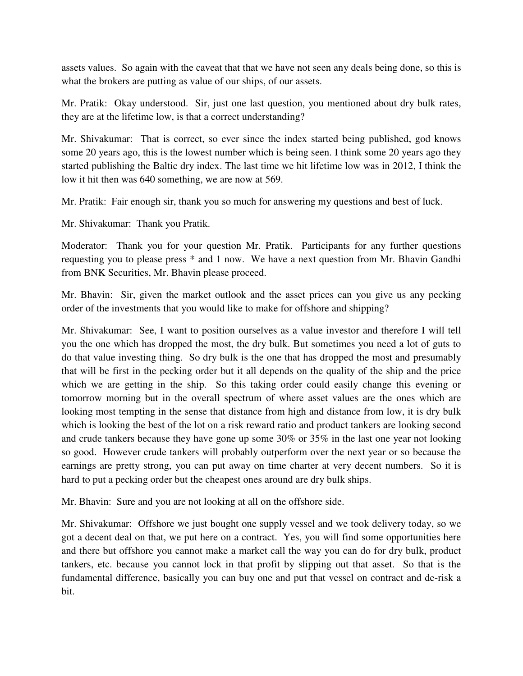assets values. So again with the caveat that that we have not seen any deals being done, so this is what the brokers are putting as value of our ships, of our assets.

Mr. Pratik: Okay understood. Sir, just one last question, you mentioned about dry bulk rates, they are at the lifetime low, is that a correct understanding?

Mr. Shivakumar: That is correct, so ever since the index started being published, god knows some 20 years ago, this is the lowest number which is being seen. I think some 20 years ago they started publishing the Baltic dry index. The last time we hit lifetime low was in 2012, I think the low it hit then was 640 something, we are now at 569.

Mr. Pratik: Fair enough sir, thank you so much for answering my questions and best of luck.

Mr. Shivakumar: Thank you Pratik.

Moderator: Thank you for your question Mr. Pratik. Participants for any further questions requesting you to please press \* and 1 now. We have a next question from Mr. Bhavin Gandhi from BNK Securities, Mr. Bhavin please proceed.

Mr. Bhavin: Sir, given the market outlook and the asset prices can you give us any pecking order of the investments that you would like to make for offshore and shipping?

Mr. Shivakumar: See, I want to position ourselves as a value investor and therefore I will tell you the one which has dropped the most, the dry bulk. But sometimes you need a lot of guts to do that value investing thing. So dry bulk is the one that has dropped the most and presumably that will be first in the pecking order but it all depends on the quality of the ship and the price which we are getting in the ship. So this taking order could easily change this evening or tomorrow morning but in the overall spectrum of where asset values are the ones which are looking most tempting in the sense that distance from high and distance from low, it is dry bulk which is looking the best of the lot on a risk reward ratio and product tankers are looking second and crude tankers because they have gone up some 30% or 35% in the last one year not looking so good. However crude tankers will probably outperform over the next year or so because the earnings are pretty strong, you can put away on time charter at very decent numbers. So it is hard to put a pecking order but the cheapest ones around are dry bulk ships.

Mr. Bhavin: Sure and you are not looking at all on the offshore side.

Mr. Shivakumar: Offshore we just bought one supply vessel and we took delivery today, so we got a decent deal on that, we put here on a contract. Yes, you will find some opportunities here and there but offshore you cannot make a market call the way you can do for dry bulk, product tankers, etc. because you cannot lock in that profit by slipping out that asset. So that is the fundamental difference, basically you can buy one and put that vessel on contract and de-risk a bit.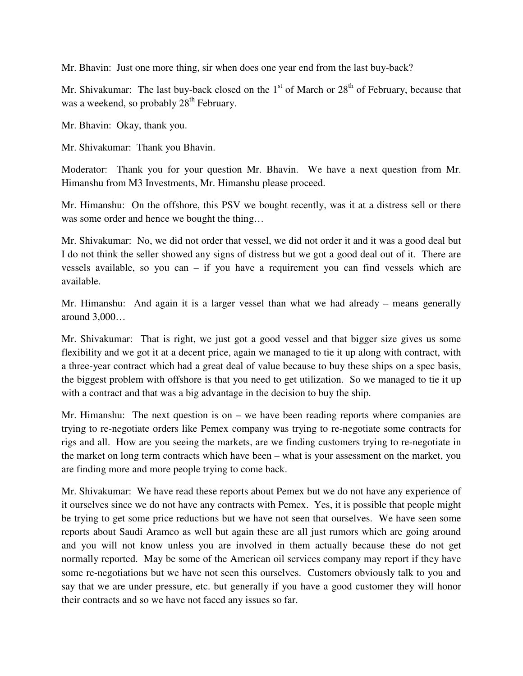Mr. Bhavin: Just one more thing, sir when does one year end from the last buy-back?

Mr. Shivakumar: The last buy-back closed on the  $1<sup>st</sup>$  of March or  $28<sup>th</sup>$  of February, because that was a weekend, so probably  $28<sup>th</sup>$  February.

Mr. Bhavin: Okay, thank you.

Mr. Shivakumar: Thank you Bhavin.

Moderator: Thank you for your question Mr. Bhavin. We have a next question from Mr. Himanshu from M3 Investments, Mr. Himanshu please proceed.

Mr. Himanshu: On the offshore, this PSV we bought recently, was it at a distress sell or there was some order and hence we bought the thing...

Mr. Shivakumar: No, we did not order that vessel, we did not order it and it was a good deal but I do not think the seller showed any signs of distress but we got a good deal out of it. There are vessels available, so you can – if you have a requirement you can find vessels which are available.

Mr. Himanshu: And again it is a larger vessel than what we had already – means generally around 3,000…

Mr. Shivakumar: That is right, we just got a good vessel and that bigger size gives us some flexibility and we got it at a decent price, again we managed to tie it up along with contract, with a three-year contract which had a great deal of value because to buy these ships on a spec basis, the biggest problem with offshore is that you need to get utilization. So we managed to tie it up with a contract and that was a big advantage in the decision to buy the ship.

Mr. Himanshu: The next question is on – we have been reading reports where companies are trying to re-negotiate orders like Pemex company was trying to re-negotiate some contracts for rigs and all. How are you seeing the markets, are we finding customers trying to re-negotiate in the market on long term contracts which have been – what is your assessment on the market, you are finding more and more people trying to come back.

Mr. Shivakumar: We have read these reports about Pemex but we do not have any experience of it ourselves since we do not have any contracts with Pemex. Yes, it is possible that people might be trying to get some price reductions but we have not seen that ourselves. We have seen some reports about Saudi Aramco as well but again these are all just rumors which are going around and you will not know unless you are involved in them actually because these do not get normally reported. May be some of the American oil services company may report if they have some re-negotiations but we have not seen this ourselves. Customers obviously talk to you and say that we are under pressure, etc. but generally if you have a good customer they will honor their contracts and so we have not faced any issues so far.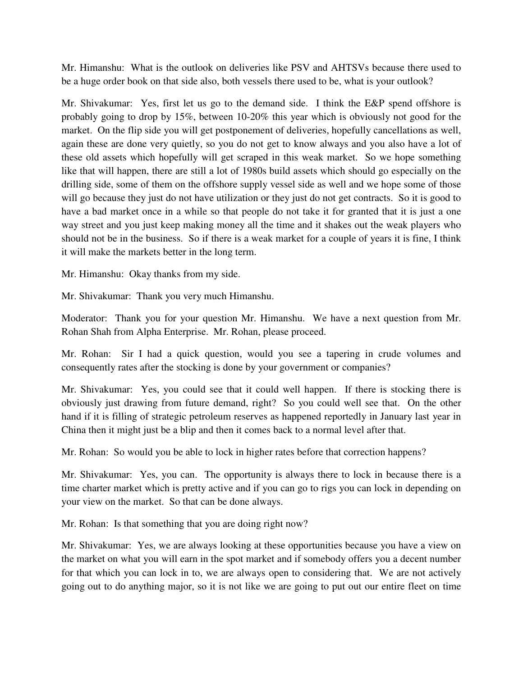Mr. Himanshu: What is the outlook on deliveries like PSV and AHTSVs because there used to be a huge order book on that side also, both vessels there used to be, what is your outlook?

Mr. Shivakumar: Yes, first let us go to the demand side. I think the E&P spend offshore is probably going to drop by 15%, between 10-20% this year which is obviously not good for the market. On the flip side you will get postponement of deliveries, hopefully cancellations as well, again these are done very quietly, so you do not get to know always and you also have a lot of these old assets which hopefully will get scraped in this weak market. So we hope something like that will happen, there are still a lot of 1980s build assets which should go especially on the drilling side, some of them on the offshore supply vessel side as well and we hope some of those will go because they just do not have utilization or they just do not get contracts. So it is good to have a bad market once in a while so that people do not take it for granted that it is just a one way street and you just keep making money all the time and it shakes out the weak players who should not be in the business. So if there is a weak market for a couple of years it is fine, I think it will make the markets better in the long term.

Mr. Himanshu: Okay thanks from my side.

Mr. Shivakumar: Thank you very much Himanshu.

Moderator: Thank you for your question Mr. Himanshu. We have a next question from Mr. Rohan Shah from Alpha Enterprise. Mr. Rohan, please proceed.

Mr. Rohan: Sir I had a quick question, would you see a tapering in crude volumes and consequently rates after the stocking is done by your government or companies?

Mr. Shivakumar: Yes, you could see that it could well happen. If there is stocking there is obviously just drawing from future demand, right? So you could well see that. On the other hand if it is filling of strategic petroleum reserves as happened reportedly in January last year in China then it might just be a blip and then it comes back to a normal level after that.

Mr. Rohan: So would you be able to lock in higher rates before that correction happens?

Mr. Shivakumar: Yes, you can. The opportunity is always there to lock in because there is a time charter market which is pretty active and if you can go to rigs you can lock in depending on your view on the market. So that can be done always.

Mr. Rohan: Is that something that you are doing right now?

Mr. Shivakumar: Yes, we are always looking at these opportunities because you have a view on the market on what you will earn in the spot market and if somebody offers you a decent number for that which you can lock in to, we are always open to considering that. We are not actively going out to do anything major, so it is not like we are going to put out our entire fleet on time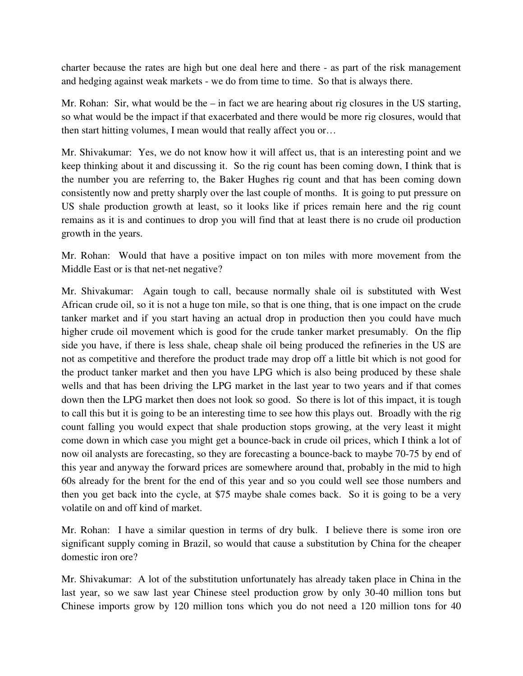charter because the rates are high but one deal here and there - as part of the risk management and hedging against weak markets - we do from time to time. So that is always there.

Mr. Rohan: Sir, what would be the – in fact we are hearing about rig closures in the US starting, so what would be the impact if that exacerbated and there would be more rig closures, would that then start hitting volumes, I mean would that really affect you or…

Mr. Shivakumar: Yes, we do not know how it will affect us, that is an interesting point and we keep thinking about it and discussing it. So the rig count has been coming down, I think that is the number you are referring to, the Baker Hughes rig count and that has been coming down consistently now and pretty sharply over the last couple of months. It is going to put pressure on US shale production growth at least, so it looks like if prices remain here and the rig count remains as it is and continues to drop you will find that at least there is no crude oil production growth in the years.

Mr. Rohan: Would that have a positive impact on ton miles with more movement from the Middle East or is that net-net negative?

Mr. Shivakumar: Again tough to call, because normally shale oil is substituted with West African crude oil, so it is not a huge ton mile, so that is one thing, that is one impact on the crude tanker market and if you start having an actual drop in production then you could have much higher crude oil movement which is good for the crude tanker market presumably. On the flip side you have, if there is less shale, cheap shale oil being produced the refineries in the US are not as competitive and therefore the product trade may drop off a little bit which is not good for the product tanker market and then you have LPG which is also being produced by these shale wells and that has been driving the LPG market in the last year to two years and if that comes down then the LPG market then does not look so good. So there is lot of this impact, it is tough to call this but it is going to be an interesting time to see how this plays out. Broadly with the rig count falling you would expect that shale production stops growing, at the very least it might come down in which case you might get a bounce-back in crude oil prices, which I think a lot of now oil analysts are forecasting, so they are forecasting a bounce-back to maybe 70-75 by end of this year and anyway the forward prices are somewhere around that, probably in the mid to high 60s already for the brent for the end of this year and so you could well see those numbers and then you get back into the cycle, at \$75 maybe shale comes back. So it is going to be a very volatile on and off kind of market.

Mr. Rohan: I have a similar question in terms of dry bulk. I believe there is some iron ore significant supply coming in Brazil, so would that cause a substitution by China for the cheaper domestic iron ore?

Mr. Shivakumar: A lot of the substitution unfortunately has already taken place in China in the last year, so we saw last year Chinese steel production grow by only 30-40 million tons but Chinese imports grow by 120 million tons which you do not need a 120 million tons for 40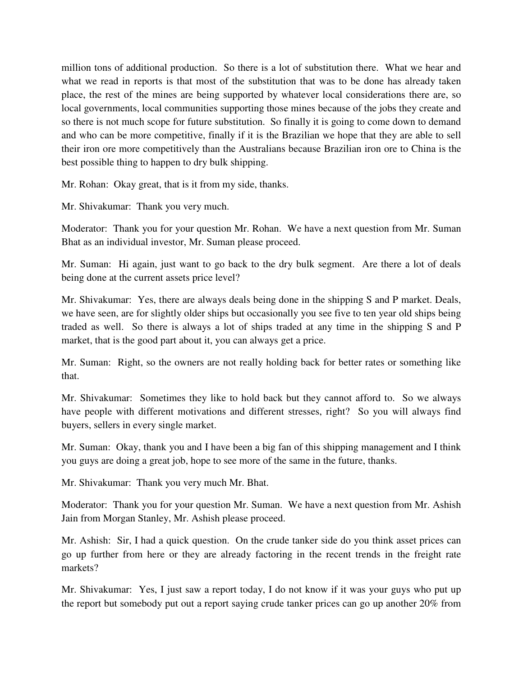million tons of additional production. So there is a lot of substitution there. What we hear and what we read in reports is that most of the substitution that was to be done has already taken place, the rest of the mines are being supported by whatever local considerations there are, so local governments, local communities supporting those mines because of the jobs they create and so there is not much scope for future substitution. So finally it is going to come down to demand and who can be more competitive, finally if it is the Brazilian we hope that they are able to sell their iron ore more competitively than the Australians because Brazilian iron ore to China is the best possible thing to happen to dry bulk shipping.

Mr. Rohan: Okay great, that is it from my side, thanks.

Mr. Shivakumar: Thank you very much.

Moderator: Thank you for your question Mr. Rohan. We have a next question from Mr. Suman Bhat as an individual investor, Mr. Suman please proceed.

Mr. Suman: Hi again, just want to go back to the dry bulk segment. Are there a lot of deals being done at the current assets price level?

Mr. Shivakumar: Yes, there are always deals being done in the shipping S and P market. Deals, we have seen, are for slightly older ships but occasionally you see five to ten year old ships being traded as well. So there is always a lot of ships traded at any time in the shipping S and P market, that is the good part about it, you can always get a price.

Mr. Suman: Right, so the owners are not really holding back for better rates or something like that.

Mr. Shivakumar: Sometimes they like to hold back but they cannot afford to. So we always have people with different motivations and different stresses, right? So you will always find buyers, sellers in every single market.

Mr. Suman: Okay, thank you and I have been a big fan of this shipping management and I think you guys are doing a great job, hope to see more of the same in the future, thanks.

Mr. Shivakumar: Thank you very much Mr. Bhat.

Moderator: Thank you for your question Mr. Suman. We have a next question from Mr. Ashish Jain from Morgan Stanley, Mr. Ashish please proceed.

Mr. Ashish: Sir, I had a quick question. On the crude tanker side do you think asset prices can go up further from here or they are already factoring in the recent trends in the freight rate markets?

Mr. Shivakumar: Yes, I just saw a report today, I do not know if it was your guys who put up the report but somebody put out a report saying crude tanker prices can go up another 20% from